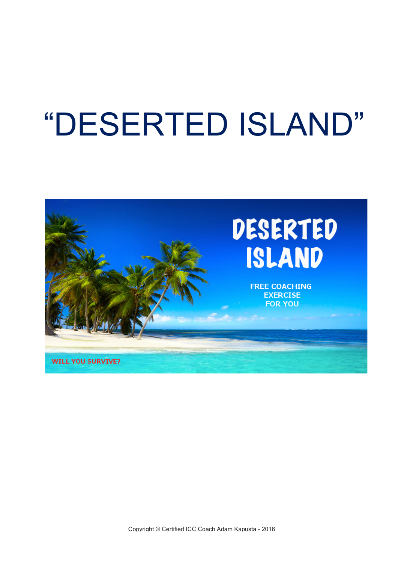## "DESERTED ISLAND"

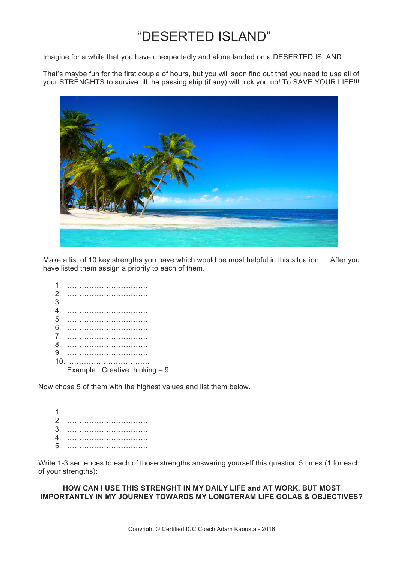## "DESERTED ISLAND"

Imagine for a while that you have unexpectedly and alone landed on a DESERTED ISLAND.

That's maybe fun for the first couple of hours, but you will soon find out that you need to use all of your STRENGHTS to survive till the passing ship (if any) will pick you up! To SAVE YOUR LIFE!!!



Make a list of 10 key strengths you have which would be most helpful in this situation… After you have listed them assign a priority to each of them.

| Example: Creative thinking $-9$ |
|---------------------------------|

Now chose 5 of them with the highest values and list them below.

Write 1-3 sentences to each of those strengths answering yourself this question 5 times (1 for each of your strengths):

**HOW CAN I USE THIS STRENGHT IN MY DAILY LIFE and AT WORK, BUT MOST IMPORTANTLY IN MY JOURNEY TOWARDS MY LONGTERAM LIFE GOLAS & OBJECTIVES?**